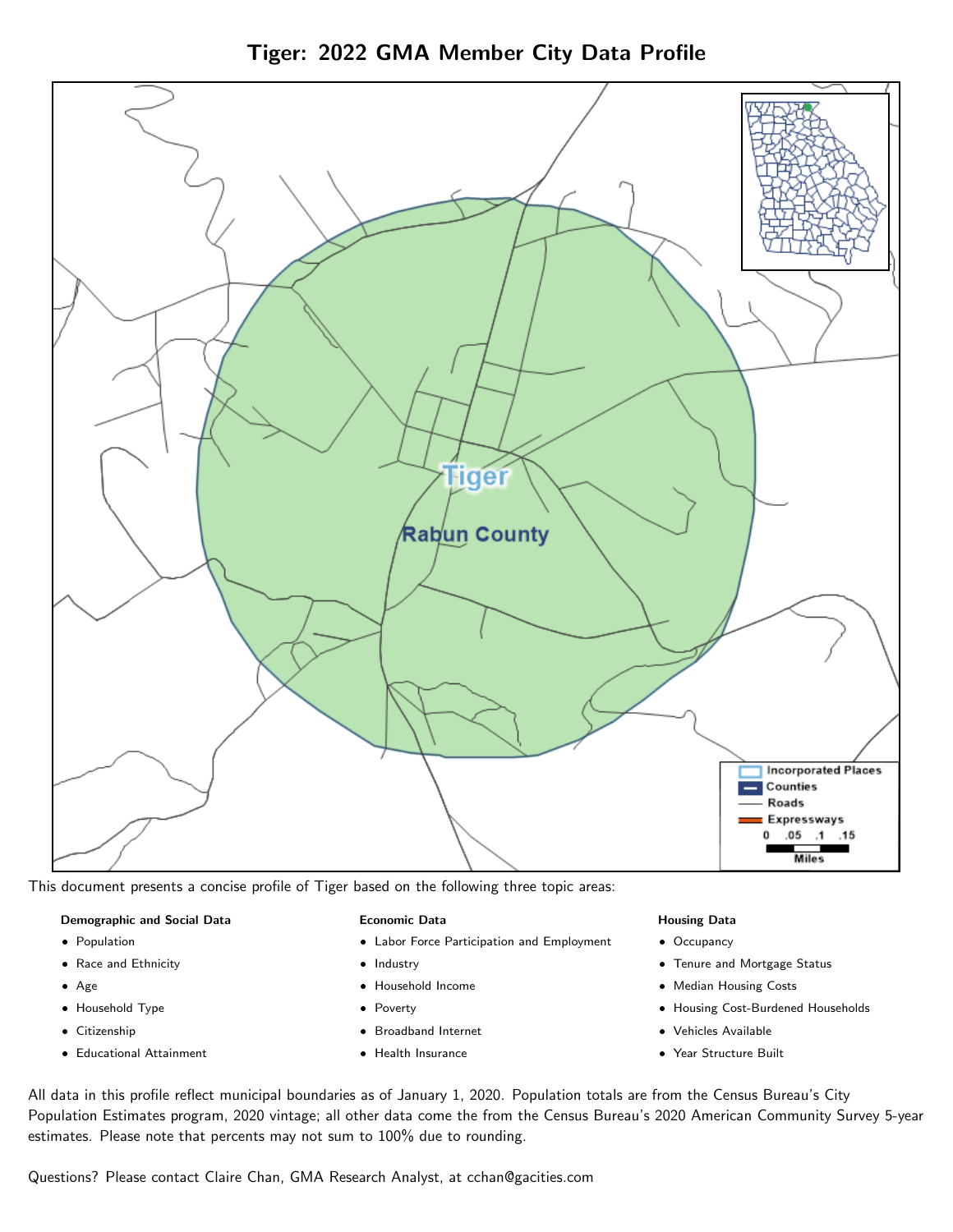



This document presents a concise profile of Tiger based on the following three topic areas:

## Demographic and Social Data

- **•** Population
- Race and Ethnicity
- Age
- Household Type
- **Citizenship**
- Educational Attainment

## Economic Data

- Labor Force Participation and Employment
- Industry
- Household Income
- Poverty
- Broadband Internet
- Health Insurance

#### Housing Data

- Occupancy
- Tenure and Mortgage Status
- Median Housing Costs
- Housing Cost-Burdened Households
- Vehicles Available
- Year Structure Built

All data in this profile reflect municipal boundaries as of January 1, 2020. Population totals are from the Census Bureau's City Population Estimates program, 2020 vintage; all other data come the from the Census Bureau's 2020 American Community Survey 5-year estimates. Please note that percents may not sum to 100% due to rounding.

Questions? Please contact Claire Chan, GMA Research Analyst, at [cchan@gacities.com.](mailto:cchan@gacities.com)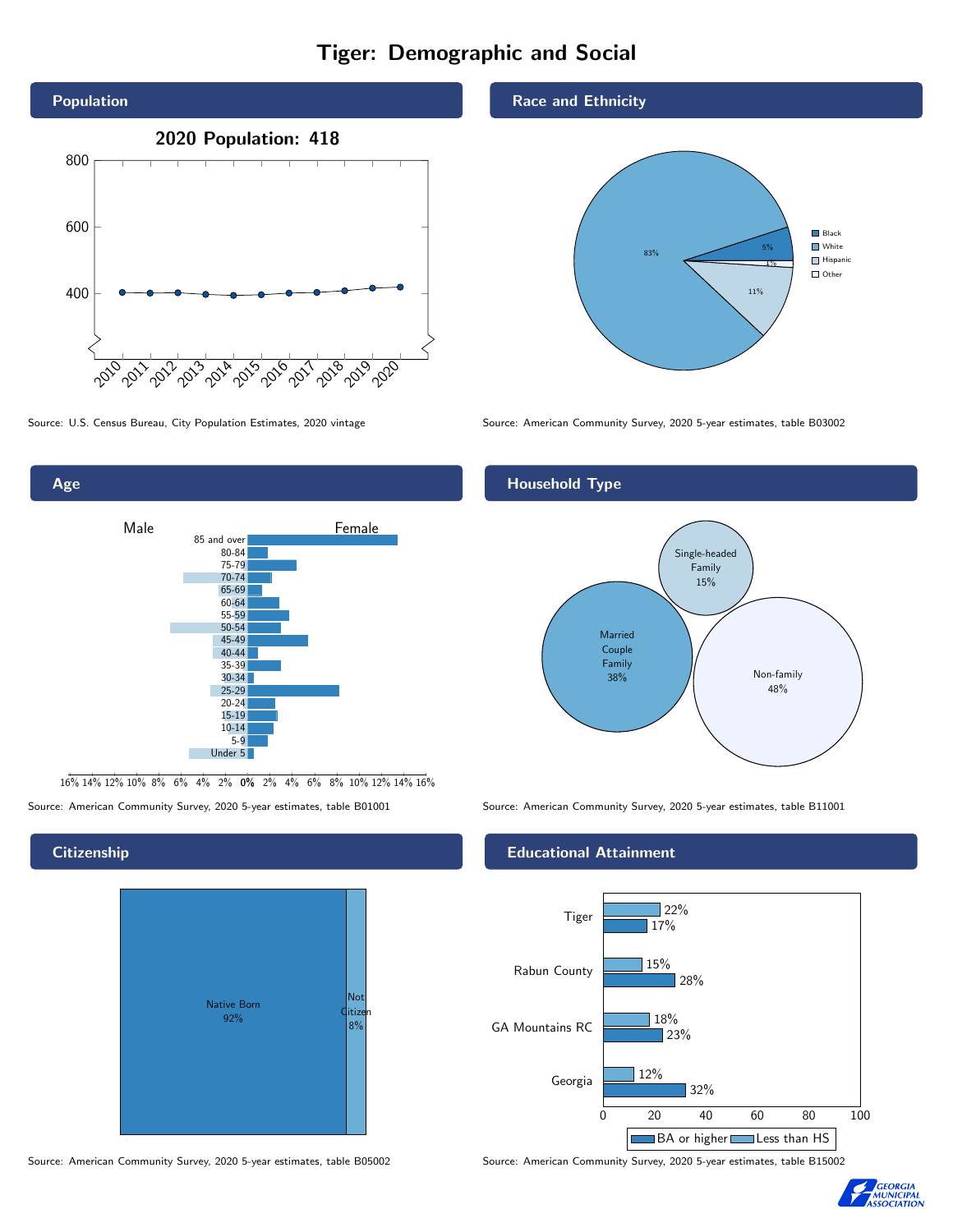# Tiger: Demographic and Social



Age



16% 14% 12% 10% 8% 6% 4% 2% 0% 2% 4% 6% 8% 10% 12% 14% 16%

Source: American Community Survey, 2020 5-year estimates, table B01001 Source: American Community Survey, 2020 5-year estimates, table B11001

## **Citizenship**

| <b>Native Born</b><br>92% | Not<br>ditizen<br>8% |
|---------------------------|----------------------|
|---------------------------|----------------------|

Source: American Community Survey, 2020 5-year estimates, table B05002 Source: American Community Survey, 2020 5-year estimates, table B15002

## Race and Ethnicity



Source: U.S. Census Bureau, City Population Estimates, 2020 vintage Source: American Community Survey, 2020 5-year estimates, table B03002

## Household Type



## Educational Attainment



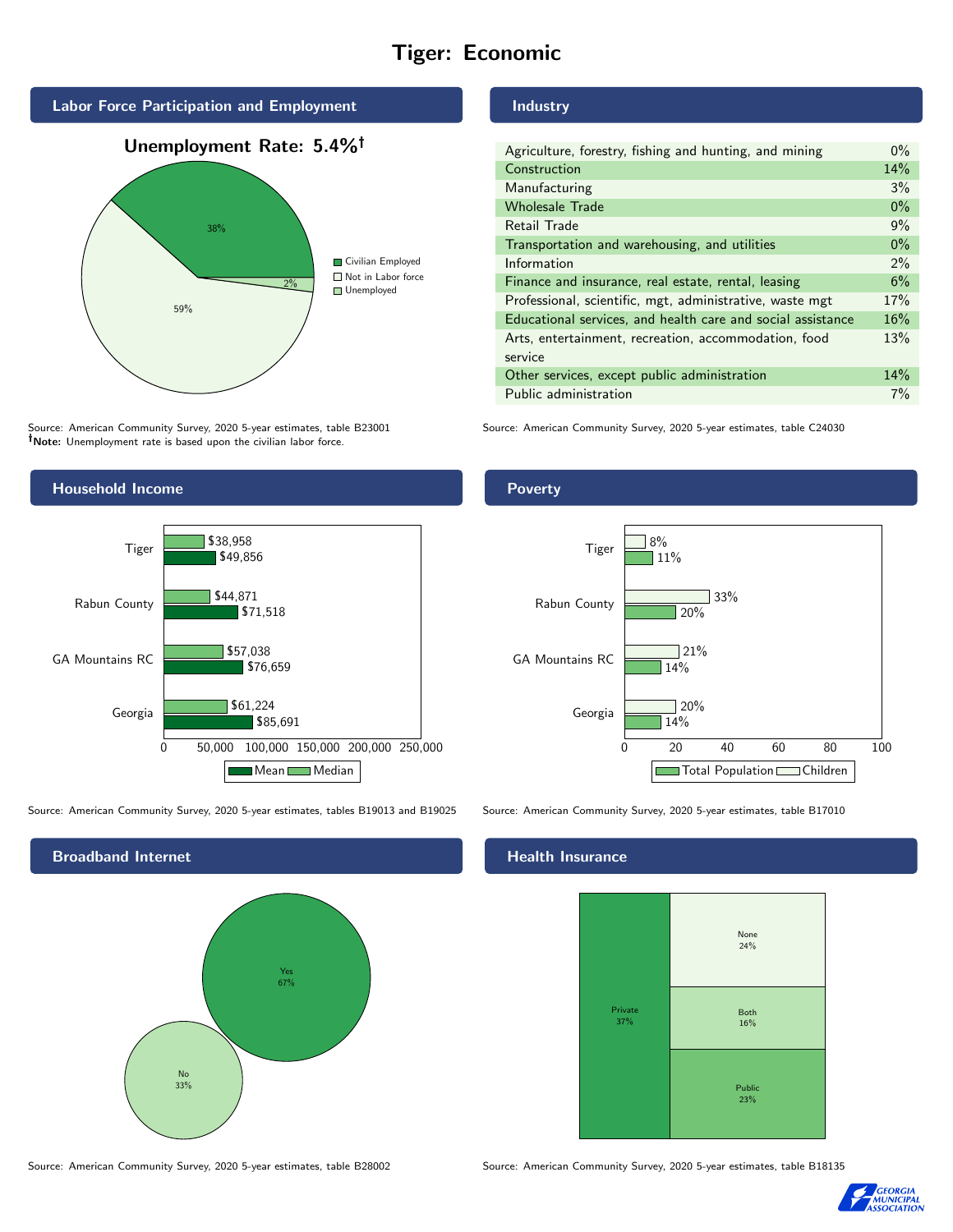# Tiger: Economic



Source: American Community Survey, 2020 5-year estimates, table B23001 Note: Unemployment rate is based upon the civilian labor force.



Source: American Community Survey, 2020 5-year estimates, tables B19013 and B19025 Source: American Community Survey, 2020 5-year estimates, table B17010

Broadband Internet No 33% Yes 67%

## Industry

| Agriculture, forestry, fishing and hunting, and mining      | $0\%$ |
|-------------------------------------------------------------|-------|
| Construction                                                | 14%   |
| Manufacturing                                               | 3%    |
| <b>Wholesale Trade</b>                                      | $0\%$ |
| Retail Trade                                                | 9%    |
| Transportation and warehousing, and utilities               | $0\%$ |
| Information                                                 | $2\%$ |
| Finance and insurance, real estate, rental, leasing         | 6%    |
| Professional, scientific, mgt, administrative, waste mgt    | 17%   |
| Educational services, and health care and social assistance | 16%   |
| Arts, entertainment, recreation, accommodation, food        | 13%   |
| service                                                     |       |
| Other services, except public administration                | 14%   |
| Public administration                                       | 7%    |

Source: American Community Survey, 2020 5-year estimates, table C24030

## **Poverty**



## Health Insurance



Source: American Community Survey, 2020 5-year estimates, table B28002 Source: American Community Survey, 2020 5-year estimates, table B18135